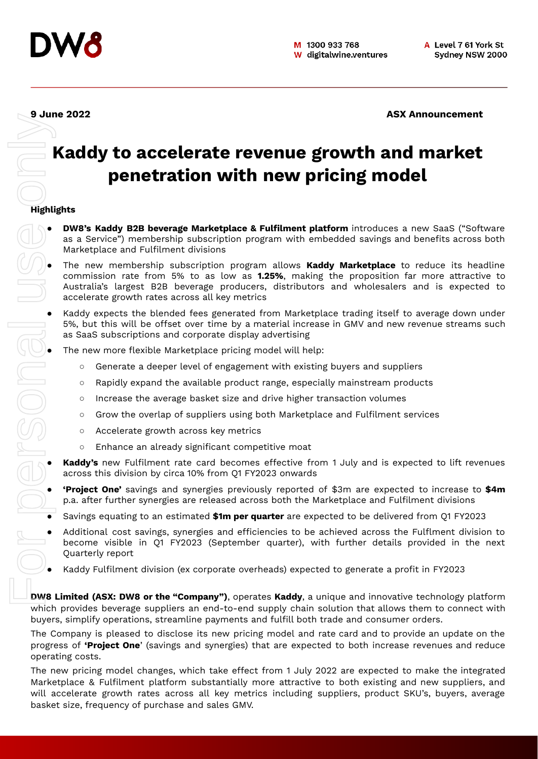

**9 June 2022 ASX Announcement**

# **Kaddy to accelerate revenue growth and market penetration with new pricing model**

# **Highlights**

- **DW8's Kaddy B2B beverage Marketplace & Fulfilment platform** introduces a new SaaS ("Software as a Service") membership subscription program with embedded savings and benefits across both Marketplace and Fulfilment divisions
- The new membership subscription program allows **Kaddy Marketplace** to reduce its headline commission rate from 5% to as low as **1.25%**, making the proposition far more attractive to Australia's largest B2B beverage producers, distributors and wholesalers and is expected to accelerate growth rates across all key metrics
- Kaddy expects the blended fees generated from Marketplace trading itself to average down under<br>
5%, but this will be offset over time by a material increase in GMV and new revenue streams such<br>
as SaaS subscriptions and 5%, but this will be offset over time by a material increase in GMV and new revenue streams such as SaaS subscriptions and corporate display advertising
	- The new more flexible Marketplace pricing model will help:
		- Generate a deeper level of engagement with existing buyers and suppliers
		- Rapidly expand the available product range, especially mainstream products
		- Increase the average basket size and drive higher transaction volumes
		- Grow the overlap of suppliers using both Marketplace and Fulfilment services
		- Accelerate growth across key metrics
		- Enhance an already significant competitive moat
	- **Kaddy's** new Fulfilment rate card becomes effective from 1 July and is expected to lift revenues across this division by circa 10% from Q1 FY2023 onwards
	- **'Project One'** savings and synergies previously reported of \$3m are expected to increase to **\$4m** p.a. after further synergies are released across both the Marketplace and Fulfilment divisions
	- Savings equating to an estimated **\$1m per quarter** are expected to be delivered from Q1 FY2023
	- Additional cost savings, synergies and efficiencies to be achieved across the Fulflment division to become visible in Q1 FY2023 (September quarter), with further details provided in the next Quarterly report
	- Kaddy Fulfilment division (ex corporate overheads) expected to generate a profit in FY2023

**DW8 Limited (ASX: DW8 or the "Company")**, operates **Kaddy**, a unique and innovative technology platform which provides beverage suppliers an end-to-end supply chain solution that allows them to connect with buyers, simplify operations, streamline payments and fulfill both trade and consumer orders.

The Company is pleased to disclose its new pricing model and rate card and to provide an update on the progress of **'Project One**' (savings and synergies) that are expected to both increase revenues and reduce operating costs.

The new pricing model changes, which take effect from 1 July 2022 are expected to make the integrated Marketplace & Fulfilment platform substantially more attractive to both existing and new suppliers, and will accelerate growth rates across all key metrics including suppliers, product SKU's, buyers, average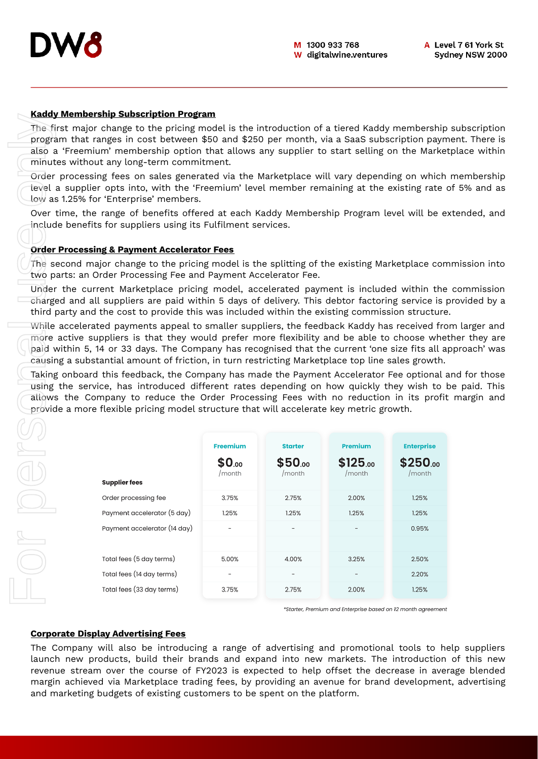

#### **Kaddy Membership Subscription Program**

The first major change to the pricing model is the introduction of a tiered Kaddy membership subscription program that ranges in cost between \$50 and \$250 per month, via a SaaS subscription payment. There is also a 'Freemium' membership option that allows any supplier to start selling on the Marketplace within minutes without any long-term commitment.

Order processing fees on sales generated via the Marketplace will vary depending on which membership level a supplier opts into, with the 'Freemium' level member remaining at the existing rate of 5% and as low as 1.25% for 'Enterprise' members.

Over time, the range of benefits offered at each Kaddy Membership Program level will be extended, and include benefits for suppliers using its Fulfilment services.

#### **Order Processing & Payment Accelerator Fees**

The second major change to the pricing model is the splitting of the existing Marketplace commission into two parts: an Order Processing Fee and Payment Accelerator Fee.

Under the current Marketplace pricing model, accelerated payment is included within the commission charged and all suppliers are paid within 5 days of delivery. This debtor factoring service is provided by a third party and the cost to provide this was included within the existing commission structure.

While accelerated payments appeal to smaller suppliers, the feedback Kaddy has received from larger and more active suppliers is that they would prefer more flexibility and be able to choose whether they are paid within 5, 14 or 33 days. The Company has recognised that the current 'one size fits all approach' was causing a substantial amount of friction, in turn restricting Marketplace top line sales growth.

Taking onboard this feedback, the Company has made the Payment Accelerator Fee optional and for those using the service, has introduced different rates depending on how quickly they wish to be paid. This allows the Company to reduce the Order Processing Fees with no reduction in its profit margin and provide a more flexible pricing model structure that will accelerate key metric growth.

|                                                                                                                                                                                                                                                                                                                                       | <u>Raugy Membership Subscription Program</u>                                                                                                                                                                                                                                                |                 |                |                                                              |                   |
|---------------------------------------------------------------------------------------------------------------------------------------------------------------------------------------------------------------------------------------------------------------------------------------------------------------------------------------|---------------------------------------------------------------------------------------------------------------------------------------------------------------------------------------------------------------------------------------------------------------------------------------------|-----------------|----------------|--------------------------------------------------------------|-------------------|
| The first major change to the pricing model is the introduction of a tiered Kaddy membership<br>program that ranges in cost between \$50 and \$250 per month, via a SaaS subscription payn<br>also a 'Freemium' membership option that allows any supplier to start selling on the Marke<br>minutes without any long-term commitment. |                                                                                                                                                                                                                                                                                             |                 |                |                                                              |                   |
|                                                                                                                                                                                                                                                                                                                                       | Order processing fees on sales generated via the Marketplace will vary depending on which<br>tevel a supplier opts into, with the 'Freemium' level member remaining at the existing rate <sub>'</sub><br>low as 1.25% for 'Enterprise' members.                                             |                 |                |                                                              |                   |
|                                                                                                                                                                                                                                                                                                                                       | Over time, the range of benefits offered at each Kaddy Membership Program level will be e<br>include benefits for suppliers using its Fulfilment services.                                                                                                                                  |                 |                |                                                              |                   |
|                                                                                                                                                                                                                                                                                                                                       | <b>Order Processing &amp; Payment Accelerator Fees</b>                                                                                                                                                                                                                                      |                 |                |                                                              |                   |
|                                                                                                                                                                                                                                                                                                                                       | The second major change to the pricing model is the splitting of the existing Marketplace con                                                                                                                                                                                               |                 |                |                                                              |                   |
|                                                                                                                                                                                                                                                                                                                                       | two parts: an Order Processing Fee and Payment Accelerator Fee.                                                                                                                                                                                                                             |                 |                |                                                              |                   |
|                                                                                                                                                                                                                                                                                                                                       | Under the current Marketplace pricing model, accelerated payment is included within the<br>charged and all suppliers are paid within 5 days of delivery. This debtor factoring service is<br>third party and the cost to provide this was included within the existing commission structure |                 |                |                                                              |                   |
|                                                                                                                                                                                                                                                                                                                                       | While accelerated payments appeal to smaller suppliers, the feedback Kaddy has received fro                                                                                                                                                                                                 |                 |                |                                                              |                   |
|                                                                                                                                                                                                                                                                                                                                       | more active suppliers is that they would prefer more flexibility and be able to choose whe                                                                                                                                                                                                  |                 |                |                                                              |                   |
|                                                                                                                                                                                                                                                                                                                                       | paid within 5, 14 or 33 days. The Company has recognised that the current 'one size fits all a<br>causing a substantial amount of friction, in turn restricting Marketplace top line sales growth.                                                                                          |                 |                |                                                              |                   |
|                                                                                                                                                                                                                                                                                                                                       | Taking onboard this feedback, the Company has made the Payment Accelerator Fee optional a                                                                                                                                                                                                   |                 |                |                                                              |                   |
|                                                                                                                                                                                                                                                                                                                                       | using the service, has introduced different rates depending on how quickly they wish to                                                                                                                                                                                                     |                 |                |                                                              |                   |
|                                                                                                                                                                                                                                                                                                                                       | allows the Company to reduce the Order Processing Fees with no reduction in its profit                                                                                                                                                                                                      |                 |                |                                                              |                   |
|                                                                                                                                                                                                                                                                                                                                       | provide a more flexible pricing model structure that will accelerate key metric growth.                                                                                                                                                                                                     |                 |                |                                                              |                   |
|                                                                                                                                                                                                                                                                                                                                       |                                                                                                                                                                                                                                                                                             |                 |                |                                                              |                   |
|                                                                                                                                                                                                                                                                                                                                       |                                                                                                                                                                                                                                                                                             | <b>Freemium</b> | <b>Starter</b> | <b>Premium</b>                                               | <b>Enterprise</b> |
|                                                                                                                                                                                                                                                                                                                                       |                                                                                                                                                                                                                                                                                             | \$0.00          | \$50.00        | \$125.00                                                     | $$250_{.00}$      |
|                                                                                                                                                                                                                                                                                                                                       | <b>Supplier fees</b>                                                                                                                                                                                                                                                                        | /month          | /month         | /month                                                       | /month            |
|                                                                                                                                                                                                                                                                                                                                       | Order processing fee                                                                                                                                                                                                                                                                        | 3.75%           | 2.75%          | 2.00%                                                        | 1.25%             |
|                                                                                                                                                                                                                                                                                                                                       | Payment accelerator (5 day)                                                                                                                                                                                                                                                                 | 1.25%           | 1.25%          | 1.25%                                                        | 1.25%             |
|                                                                                                                                                                                                                                                                                                                                       | Payment accelerator (14 day)                                                                                                                                                                                                                                                                |                 |                |                                                              | 0.95%             |
|                                                                                                                                                                                                                                                                                                                                       |                                                                                                                                                                                                                                                                                             |                 |                |                                                              |                   |
|                                                                                                                                                                                                                                                                                                                                       | Total fees (5 day terms)                                                                                                                                                                                                                                                                    | 5.00%           | 4.00%          | 3.25%                                                        | 2.50%             |
|                                                                                                                                                                                                                                                                                                                                       | Total fees (14 day terms)                                                                                                                                                                                                                                                                   |                 |                |                                                              | 2.20%             |
|                                                                                                                                                                                                                                                                                                                                       | Total fees (33 day terms)                                                                                                                                                                                                                                                                   | 3.75%           | 2.75%          | 2.00%                                                        | 1.25%             |
|                                                                                                                                                                                                                                                                                                                                       |                                                                                                                                                                                                                                                                                             |                 |                | *Starter, Premium and Enterprise based on 12 month agreement |                   |
|                                                                                                                                                                                                                                                                                                                                       |                                                                                                                                                                                                                                                                                             |                 |                |                                                              |                   |
|                                                                                                                                                                                                                                                                                                                                       | <b>Corporate Display Advertising Fees</b>                                                                                                                                                                                                                                                   |                 |                |                                                              |                   |
|                                                                                                                                                                                                                                                                                                                                       | The Company will also be introducing a range of advertising and promotional tools to he                                                                                                                                                                                                     |                 |                |                                                              |                   |
|                                                                                                                                                                                                                                                                                                                                       | launch new products, build their brands and expand into new markets. The introduction<br>revenue stream over the course of FY2023 is expected to help offset the decrease in ave                                                                                                            |                 |                |                                                              |                   |
|                                                                                                                                                                                                                                                                                                                                       | margin achieved via Marketplace trading fees, by providing an avenue for brand developmen                                                                                                                                                                                                   |                 |                |                                                              |                   |
|                                                                                                                                                                                                                                                                                                                                       | and marketing budgets of existing customers to be spent on the platform.                                                                                                                                                                                                                    |                 |                |                                                              |                   |

#### **Corporate Display Advertising Fees**

The Company will also be introducing a range of advertising and promotional tools to help suppliers launch new products, build their brands and expand into new markets. The introduction of this new revenue stream over the course of FY2023 is expected to help offset the decrease in average blended margin achieved via Marketplace trading fees, by providing an avenue for brand development, advertising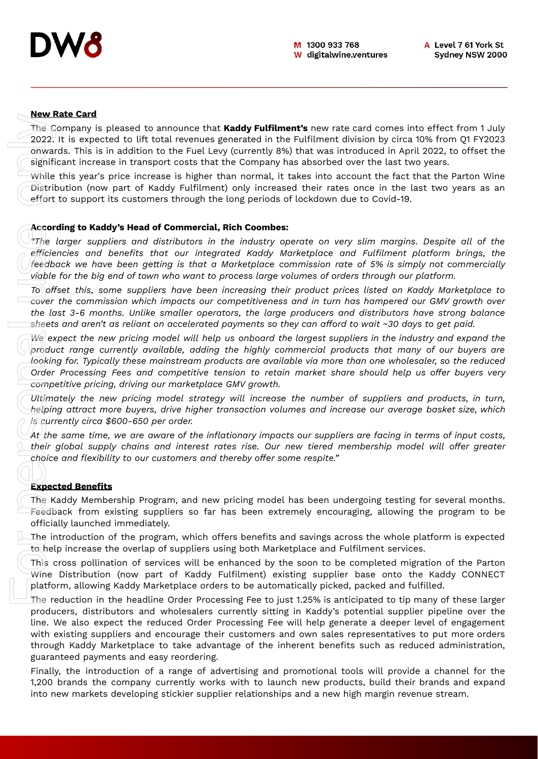# **New Rate Card**

The Company is pleased to announce that **Kaddy Fulfilment's** new rate card comes into effect from 1 July 2022. It is expected to lift total revenues generated in the Fulfilment division by circa 10% from Q1 FY2023 onwards. This is in addition to the Fuel Levy (currently 8%) that was introduced in April 2022, to offset the significant increase in transport costs that the Company has absorbed over the last two years.

While this year's price increase is higher than normal, it takes into account the fact that the Parton Wine Distribution (now part of Kaddy Fulfilment) only increased their rates once in the last two years as an effort to support its customers through the long periods of lockdown due to Covid-19.

#### **According to Kaddy's Head of Commercial, Rich Coombes:**

*"The larger suppliers and distributors in the industry operate on very slim margins. Despite all of the efficiencies and benefits that our integrated Kaddy Marketplace and Fulfilment platform brings, the feedback we have been getting is that a Marketplace commission rate of 5% is simply not commercially viable for the big end of town who want to process large volumes of orders through our platform.*

*To offset this, some suppliers have been increasing their product prices listed on Kaddy Marketplace to cover the commission which impacts our competitiveness and in turn has hampered our GMV growth over the last 3-6 months. Unlike smaller operators, the large producers and distributors have strong balance* sheets and aren't as reliant on accelerated payments so they can afford to wait  $\sim$ 30 days to get paid.

We expect the new pricing model will help us onboard the largest suppliers in the industry and expand the *product range currently available, adding the highly commercial products that many of our buyers are looking for. Typically these mainstream products are available via more than one wholesaler, so the reduced Order Processing Fees and competitive tension to retain market share should help us offer buyers very competitive pricing, driving our marketplace GMV growth.*

*Ultimately the new pricing model strategy will increase the number of suppliers and products, in turn, helping attract more buyers, drive higher transaction volumes and increase our average basket size, which is currently circa \$600-650 per order.*

At the same time, we are aware of the inflationary impacts our suppliers are facing in terms of input costs, *their global supply chains and interest rates rise. Our new tiered membership model will offer greater choice and flexibility to our customers and thereby offer some respite."*

# **Expected Benefits**

The Kaddy Membership Program, and new pricing model has been undergoing testing for several months. Feedback from existing suppliers so far has been extremely encouraging, allowing the program to be officially launched immediately.

The introduction of the program, which offers benefits and savings across the whole platform is expected to help increase the overlap of suppliers using both Marketplace and Fulfilment services.

This cross pollination of services will be enhanced by the soon to be completed migration of the Parton Wine Distribution (now part of Kaddy Fulfilment) existing supplier base onto the Kaddy CONNECT platform, allowing Kaddy Marketplace orders to be automatically picked, packed and fulfilled.

The reduction in the headline Order Processing Fee to just 1.25% is anticipated to tip many of these larger producers, distributors and wholesalers currently sitting in Kaddy's potential supplier pipeline over the line. We also expect the reduced Order Processing Fee will help generate a deeper level of engagement with existing suppliers and encourage their customers and own sales representatives to put more orders through Kaddy Marketplace to take advantage of the inherent benefits such as reduced administration, guaranteed payments and easy reordering. interest and one of the complete property increase that **Krahet** Fully developed the supplier relation for the company the personal use of the first of the company has a incredict relation of the First Lay (correct) on the

Finally, the introduction of a range of advertising and promotional tools will provide a channel for the 1,200 brands the company currently works with to launch new products, build their brands and expand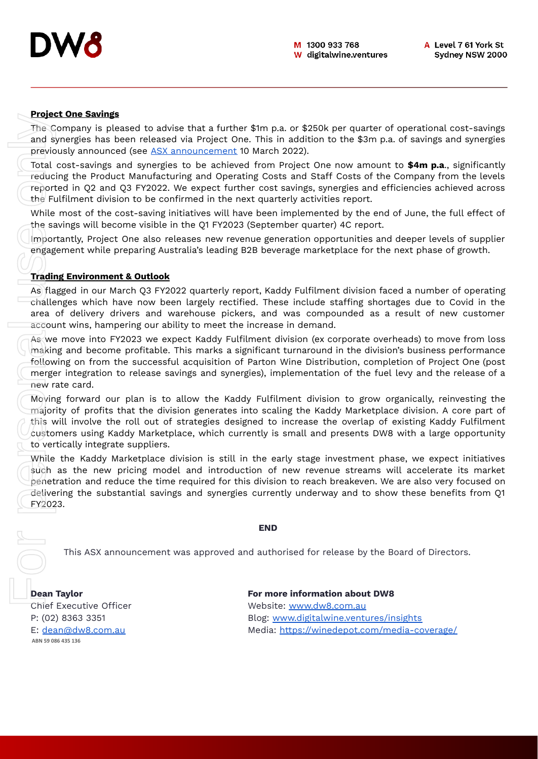# **Project One Savings**

The Company is pleased to advise that a further \$1m p.a. or \$250k per quarter of operational cost-savings and synergies has been released via Project One. This in addition to the \$3m p.a. of savings and synergies previously announced (see ASX [announcement](https://cdn-api.markitdigital.com/apiman-gateway/ASX/asx-research/1.0/file/2924-02497540-6A1081109?access_token=83ff96335c2d45a094df02a206a39ff4) 10 March 2022).

Total cost-savings and synergies to be achieved from Project One now amount to **\$4m p.a**., significantly reducing the Product Manufacturing and Operating Costs and Staff Costs of the Company from the levels reported in Q2 and Q3 FY2022. We expect further cost savings, synergies and efficiencies achieved across the Fulfilment division to be confirmed in the next quarterly activities report.

While most of the cost-saving initiatives will have been implemented by the end of June, the full effect of the savings will become visible in the Q1 FY2023 (September quarter) 4C report.

Importantly, Project One also releases new revenue generation opportunities and deeper levels of supplier engagement while preparing Australia's leading B2B beverage marketplace for the next phase of growth.

# **Trading Environment & Outlook**

As flagged in our March Q3 FY2022 quarterly report, Kaddy Fulfilment division faced a number of operating challenges which have now been largely rectified. These include staffing shortages due to Covid in the area of delivery drivers and warehouse pickers, and was compounded as a result of new customer account wins, hampering our ability to meet the increase in demand.

As we move into FY2023 we expect Kaddy Fulfilment division (ex corporate overheads) to move from loss making and become profitable. This marks a significant turnaround in the division's business performance following on from the successful acquisition of Parton Wine Distribution, completion of Project One (post merger integration to release savings and synergies), implementation of the fuel levy and the release of a new rate card.

Moving forward our plan is to allow the Kaddy Fulfilment division to grow organically, reinvesting the majority of profits that the division generates into scaling the Kaddy Marketplace division. A core part of this will involve the roll out of strategies designed to increase the overlap of existing Kaddy Fulfilment customers using Kaddy Marketplace, which currently is small and presents DW8 with a large opportunity to vertically integrate suppliers.

While the Kaddy Marketplace division is still in the early stage investment phase, we expect initiatives such as the new pricing model and introduction of new revenue streams will accelerate its market penetration and reduce the time required for this division to reach breakeven. We are also very focused on delivering the substantial savings and synergies currently underway and to show these benefits from Q1 FY2023. **Figure Cine**<br>The Compa<br>and synergic previously a<br>Total cost-inducing the reported in<br>the Fulfilme While most<br>the savings<br>engagement<br>**Trading Env**<br>As flagged<br>challenges<br>area of de<br>account wire making and following on<br>merge

#### **END**

This ASX announcement was approved and authorised for release by the Board of Directors.

ABN 59 086 435 136

**Dean Taylor For more information about DW8** Chief Executive Officer Metal Chief Website: [www.dw8.com.au](http://www.dw8.com.au/) P: (02) 8363 3351 Blog: [www.digitalwine.ventures/insights](http://www.digitalwine.ventures/insights) E: [dean@dw8.com.au](mailto:dean@dw8.com.au) Media: <https://winedepot.com/media-coverage/>